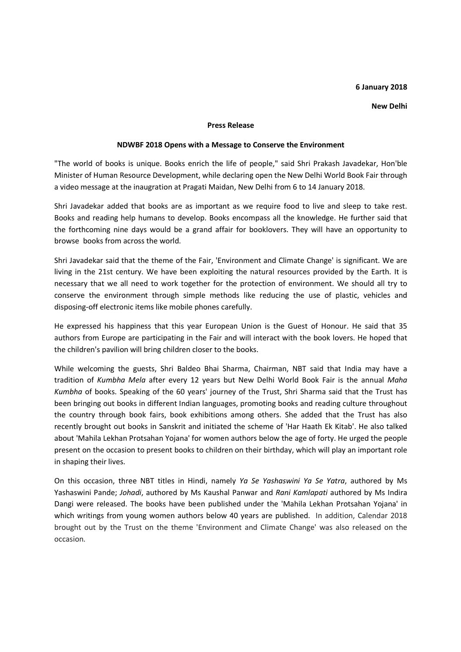## **6 January 2018**

## **New Delhi**

## **Press Release**

## **NDWBF 2018 Opens with a Message to Conserve the Environment**

"The world of books is unique. Books enrich the life of people," said Shri Prakash Javadekar, Hon'ble Minister of Human Resource Development, while declaring open the New Delhi World Book Fair through a video message at the inaugration at Pragati Maidan, New Delhi from 6 to 14 January 2018.

Shri Javadekar added that books are as important as we require food to live and sleep to take rest. Books and reading help humans to develop. Books encompass all the knowledge. He further said that the forthcoming nine days would be a grand affair for booklovers. They will have an opportunity to browse books from across the world.

Shri Javadekar said that the theme of the Fair, 'Environment and Climate Change' is significant. We are living in the 21st century. We have been exploiting the natural resources provided by the Earth. It is necessary that we all need to work together for the protection of environment. We should all try to conserve the environment through simple methods like reducing the use of plastic, vehicles and disposing-off electronic items like mobile phones carefully.

He expressed his happiness that this year European Union is the Guest of Honour. He said that 35 authors from Europe are participating in the Fair and will interact with the book lovers. He hoped that the children's pavilion will bring children closer to the books.

While welcoming the guests, Shri Baldeo Bhai Sharma, Chairman, NBT said that India may have a tradition of *Kumbha Mela* after every 12 years but New Delhi World Book Fair is the annual *Maha Kumbha* of books. Speaking of the 60 years' journey of the Trust, Shri Sharma said that the Trust has been bringing out books in different Indian languages, promoting books and reading culture throughout the country through book fairs, book exhibitions among others. She added that the Trust has also recently brought out books in Sanskrit and initiated the scheme of 'Har Haath Ek Kitab'. He also talked about 'Mahila Lekhan Protsahan Yojana' for women authors below the age of forty. He urged the people present on the occasion to present books to children on their birthday, which will play an important role in shaping their lives.

On this occasion, three NBT titles in Hindi, namely *Ya Se Yashaswini Ya Se Yatra*, authored by Ms Yashaswini Pande; *Johadi*, authored by Ms Kaushal Panwar and *Rani Kamlapati* authored by Ms Indira Dangi were released. The books have been published under the 'Mahila Lekhan Protsahan Yojana' in which writings from young women authors below 40 years are published. In addition, Calendar 2018 brought out by the Trust on the theme 'Environment and Climate Change' was also released on the occasion.